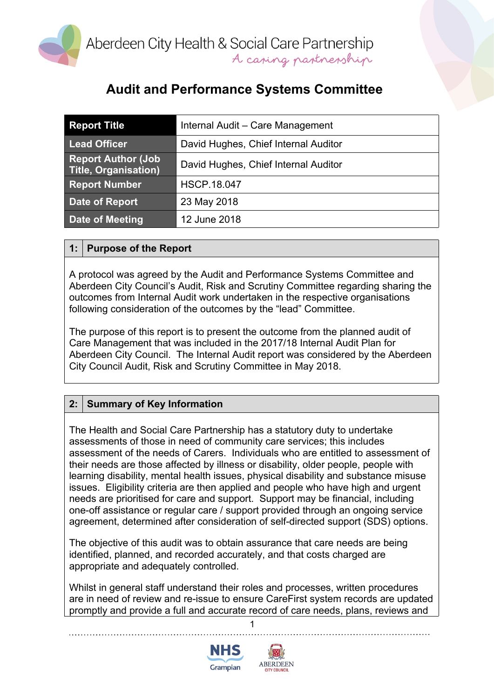

## **Audit and Performance Systems Committee**

| <b>Report Title</b>                               | Internal Audit - Care Management     |
|---------------------------------------------------|--------------------------------------|
| <b>Lead Officer</b>                               | David Hughes, Chief Internal Auditor |
| <b>Report Author (Job</b><br>Title, Organisation) | David Hughes, Chief Internal Auditor |
| <b>Report Number</b>                              | <b>HSCP.18.047</b>                   |
| Date of Report                                    | 23 May 2018                          |
| Date of Meeting                                   | 12 June 2018                         |

#### **1: Purpose of the Report**

A protocol was agreed by the Audit and Performance Systems Committee and Aberdeen City Council's Audit, Risk and Scrutiny Committee regarding sharing the outcomes from Internal Audit work undertaken in the respective organisations following consideration of the outcomes by the "lead" Committee.

The purpose of this report is to present the outcome from the planned audit of Care Management that was included in the 2017/18 Internal Audit Plan for Aberdeen City Council. The Internal Audit report was considered by the Aberdeen City Council Audit, Risk and Scrutiny Committee in May 2018.

### **2: Summary of Key Information**

The Health and Social Care Partnership has a statutory duty to undertake assessments of those in need of community care services; this includes assessment of the needs of Carers. Individuals who are entitled to assessment of their needs are those affected by illness or disability, older people, people with learning disability, mental health issues, physical disability and substance misuse issues. Eligibility criteria are then applied and people who have high and urgent needs are prioritised for care and support. Support may be financial, including one-off assistance or regular care / support provided through an ongoing service agreement, determined after consideration of self-directed support (SDS) options.

The objective of this audit was to obtain assurance that care needs are being identified, planned, and recorded accurately, and that costs charged are appropriate and adequately controlled.

Whilst in general staff understand their roles and processes, written procedures are in need of review and re-issue to ensure CareFirst system records are updated promptly and provide a full and accurate record of care needs, plans, reviews and

1



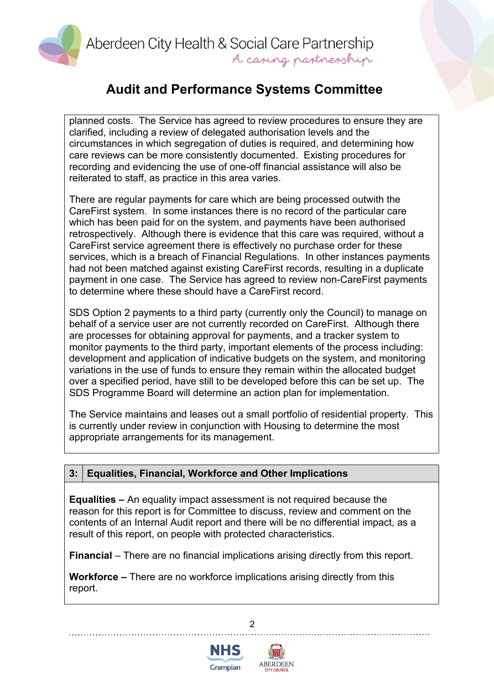Aberdeen City Health & Social Care Partnership A casing partnership

## **Audit and Performance Systems Committee**

planned costs. The Service has agreed to review procedures to ensure they are clarified, including a review of delegated authorisation levels and the circumstances in which segregation of duties is required, and determining how care reviews can be more consistently documented. Existing procedures for recording and evidencing the use of one-off financial assistance will also be reiterated to staff, as practice in this area varies.

There are regular payments for care which are being processed outwith the CareFirst system. In some instances there is no record of the particular care which has been paid for on the system, and payments have been authorised retrospectively. Although there is evidence that this care was required, without a CareFirst service agreement there is effectively no purchase order for these services, which is a breach of Financial Regulations. In other instances payments had not been matched against existing CareFirst records, resulting in a duplicate payment in one case. The Service has agreed to review non-CareFirst payments to determine where these should have a CareFirst record.

SDS Option 2 payments to a third party (currently only the Council) to manage on behalf of a service user are not currently recorded on CareFirst. Although there are processes for obtaining approval for payments, and a tracker system to monitor payments to the third party, important elements of the process including: development and application of indicative budgets on the system, and monitoring variations in the use of funds to ensure they remain within the allocated budget over a specified period, have still to be developed before this can be set up. The SDS Programme Board will determine an action plan for implementation.

The Service maintains and leases out a small portfolio of residential property. This is currently under review in conjunction with Housing to determine the most appropriate arrangements for its management.

#### **3: Equalities, Financial, Workforce and Other Implications**

**Equalities –** An equality impact assessment is not required because the reason for this report is for Committee to discuss, review and comment on the contents of an Internal Audit report and there will be no differential impact, as a result of this report, on people with protected characteristics.

**Financial** – There are no financial implications arising directly from this report.

2

**Workforce –** There are no workforce implications arising directly from this report.